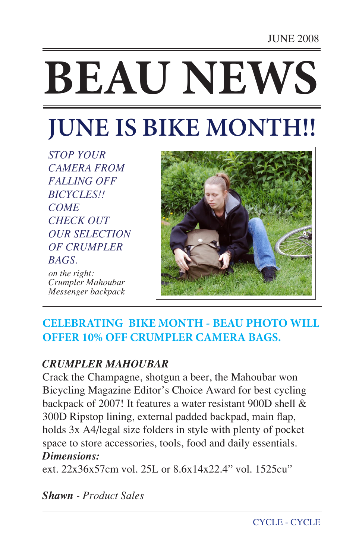# **BEAU NEWS**

# **JUNE IS BIKE MONTH!!**

*STOP YOUR CAMERA FROM FALLING OFF BICYCLES!! COME CHECK OUT OUR SELECTION OF CRUMPLER BAGS.* 

*on the right: Crumpler Mahoubar Messenger backpack*



### **CELEBRATING BIKE MONTH - BEAU PHOTO WILL OFFER 10% OFF CRUMPLER CAMERA BAGS.**

### *CRUMPLER MAHOUBAR*

Crack the Champagne, shotgun a beer, the Mahoubar won Bicycling Magazine Editor's Choice Award for best cycling backpack of 2007! It features a water resistant 900D shell & 300D Ripstop lining, external padded backpad, main flap, holds 3x A4/legal size folders in style with plenty of pocket space to store accessories, tools, food and daily essentials. *Dimensions:*

ext. 22x36x57cm vol. 25L or 8.6x14x22.4" vol. 1525cu"

*Shawn - Product Sales*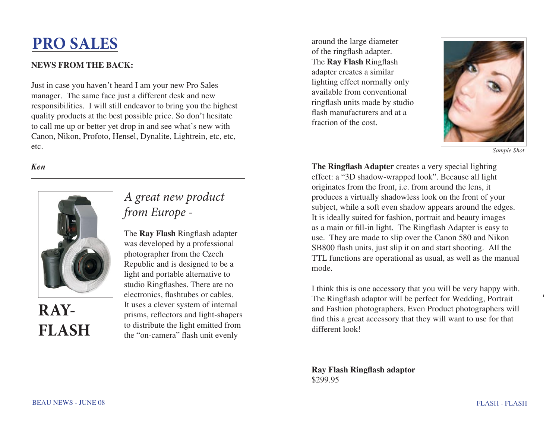## **PRO SALES**

### **NEWS FROM THE BACK:**

Just in case you haven't heard I am your new Pro Sales manager. The same face just a different desk and new responsibilities. I will still endeavor to bring you the highest quality products at the best possible price. So don't hesitate to call me up or better yet drop in and see what's new with Canon, Nikon, Profoto, Hensel, Dynalite, Lightrein, etc, etc, etc.

### *Ken*



### *A great new product from Europe -*

The **Ray Flash** Ringflash adapter was developed by a professional photographer from the Czech Republic and is designed to be a light and portable alternative to studio Ringflashes. There are no electronics, flashtubes or cables. It uses a clever system of internal prisms, reflectors and light-shapers to distribute the light emitted from the "on-camera" flash unit evenly

around the large diameter of the ringflash adapter. The **Ray Flash** Ringflash adapter creates a similar lighting effect normally only available from conventional ringflash units made by studio flash manufacturers and at a fraction of the cost.



*Sample Shot* 

**The Ringflash Adapter** creates a very special lighting effect: a "3D shadow-wrapped look". Because all light originates from the front, i.e. from around the lens, it produces a virtually shadowless look on the front of your subject, while a soft even shadow appears around the edges. It is ideally suited for fashion, portrait and beauty images as a main or fill-in light. The Ringflash Adapter is easy to use. They are made to slip over the Canon 580 and Nikon SB800 flash units, just slip it on and start shooting. All the TTL functions are operational as usual, as well as the manual mode.

I think this is one accessory that you will be very happy with. The Ringflash adaptor will be perfect for Wedding, Portrait and Fashion photographers. Even Product photographers will find this a great accessory that they will want to use for that different look!

**Ray Flash Ringflash adaptor** \$299.95

**RAY-**

**FLASH**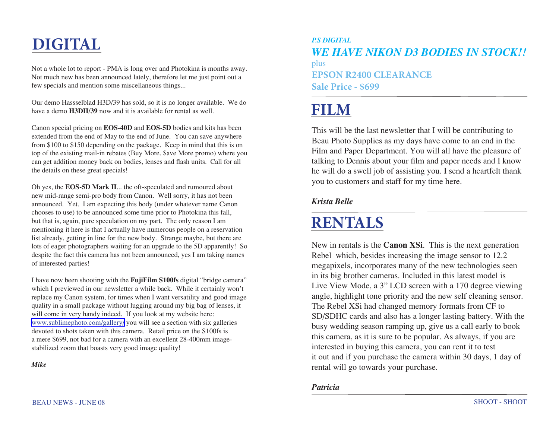# **DIGITAL**

Not a whole lot to report - PMA is long over and Photokina is months away. Not much new has been announced lately, therefore let me just point out a few specials and mention some miscellaneous things...

Our demo Hassselblad H3D/39 has sold, so it is no longer available. We do have a demo **H3DII/39** now and it is available for rental as well.

Canon special pricing on **EOS-40D** and **EOS-5D** bodies and kits has been extended from the end of May to the end of June. You can save anywhere from \$100 to \$150 depending on the package. Keep in mind that this is on top of the existing mail-in rebates (Buy More. \$ave More promo) where you can get addition money back on bodies, lenses and flash units. Call for all the details on these great specials!

Oh yes, the **EOS-5D Mark II**... the oft-speculated and rumoured about new mid-range semi-pro body from Canon. Well sorry, it has not been announced. Yet. I am expecting this body (under whatever name Canon chooses to use) to be announced some time prior to Photokina this fall, but that is, again, pure speculation on my part. The only reason I am mentioning it here is that I actually have numerous people on a reservation list already, getting in line for the new body. Strange maybe, but there are lots of eager photographers waiting for an upgrade to the 5D apparently! So despite the fact this camera has not been announced, yes I am taking names of interested parties!

I have now been shooting with the **FujiFilm S100fs** digital "bridge camera" which I previewed in our newsletter a while back. While it certainly won't replace my Canon system, for times when I want versatility and good image quality in a small package without lugging around my big bag of lenses, it will come in very handy indeed. If you look at my website here: [www.sublimephoto.com/gallery/](http://www.sublimephoto.com/gallery/) you will see a section with six galleries devoted to shots taken with this camera. Retail price on the S100fs is a mere \$699, not bad for a camera with an excellent 28-400mm imagestabilized zoom that boasts very good image quality!

*Mike*

plus **EPSON R2400 CLEARANCE Sale Price - \$699** *P.S DIGITAL WE HAVE NIKON D3 BODIES IN STOCK!!*

# **FILM**

This will be the last newsletter that I will be contributing to Beau Photo Supplies as my days have come to an end in the Film and Paper Department. You will all have the pleasure of talking to Dennis about your film and paper needs and I know he will do a swell job of assisting you. I send a heartfelt thank you to customers and staff for my time here.

### *Krista Belle*

# **RENTALS**

New in rentals is the **Canon XSi**. This is the next generation Rebel which, besides increasing the image sensor to 12.2 megapixels, incorporates many of the new technologies seen in its big brother cameras. Included in this latest model is Live View Mode, a 3" LCD screen with a 170 degree viewing angle, highlight tone priority and the new self cleaning sensor. The Rebel XSi had changed memory formats from CF to SD/SDHC cards and also has a longer lasting battery. With the busy wedding season ramping up, give us a call early to book this camera, as it is sure to be popular. As always, if you are interested in buying this camera, you can rent it to test it out and if you purchase the camera within 30 days, 1 day of rental will go towards your purchase.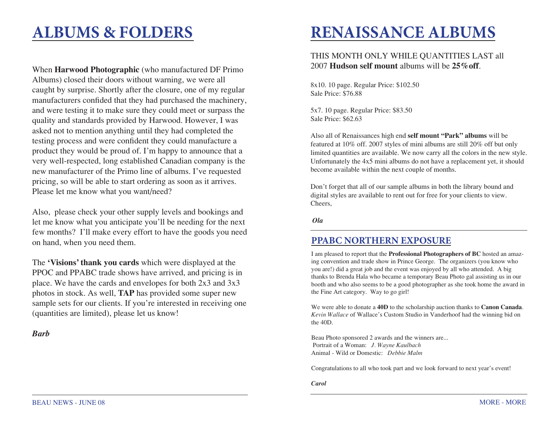### **ALBUMS & FOLDERS**

When **Harwood Photographic** (who manufactured DF Primo Albums) closed their doors without warning, we were all caught by surprise. Shortly after the closure, one of my regular manufacturers confided that they had purchased the machinery, and were testing it to make sure they could meet or surpass the quality and standards provided by Harwood. However, I was asked not to mention anything until they had completed the testing process and were confident they could manufacture a product they would be proud of. I'm happy to announce that a very well-respected, long established Canadian company is the new manufacturer of the Primo line of albums. I've requested pricing, so will be able to start ordering as soon as it arrives. Please let me know what you want/need?

Also, please check your other supply levels and bookings and let me know what you anticipate you'll be needing for the next few months? I'll make every effort to have the goods you need on hand, when you need them.

The **'Visions' thank you cards** which were displayed at the PPOC and PPABC trade shows have arrived, and pricing is in place. We have the cards and envelopes for both 2x3 and 3x3 photos in stock. As well, **TAP** has provided some super new sample sets for our clients. If you're interested in receiving one (quantities are limited), please let us know!

*Barb* 

# **RENAISSANCE ALBUMS**

#### THIS MONTH ONLY WHILE QUANTITIES LAST all 2007 **Hudson self mount** albums will be **25%off**.

8x10. 10 page. Regular Price: \$102.50 Sale Price: \$76.88

5x7. 10 page. Regular Price: \$83.50 Sale Price: \$62.63

Also all of Renaissances high end **self mount "Park" albums** will be featured at 10% off. 2007 styles of mini albums are still 20% off but only limited quantities are available. We now carry all the colors in the new style. Unfortunately the 4x5 mini albums do not have a replacement yet, it should become available within the next couple of months.

Don't forget that all of our sample albums in both the library bound and digital styles are available to rent out for free for your clients to view. Cheers,

 *Ola*

### **PPABC NORTHERN EXPOSURE**

I am pleased to report that the **Professional Photographers of BC** hosted an amazing convention and trade show in Prince George. The organizers (you know who you are!) did a great job and the event was enjoyed by all who attended. A big thanks to Brenda Hala who became a temporary Beau Photo gal assisting us in our booth and who also seems to be a good photographer as she took home the award in the Fine Art category. Way to go girl!

We were able to donate a **40D** to the scholarship auction thanks to **Canon Canada**. *Kevin Wallace* of Wallace's Custom Studio in Vanderhoof had the winning bid on the 40D.

Beau Photo sponsored 2 awards and the winners are... Portrait of a Woman: *J. Wayne Kaulbach* Animal - Wild or Domestic: *Debbie Malm*

Congratulations to all who took part and we look forward to next year's event!

*Carol*